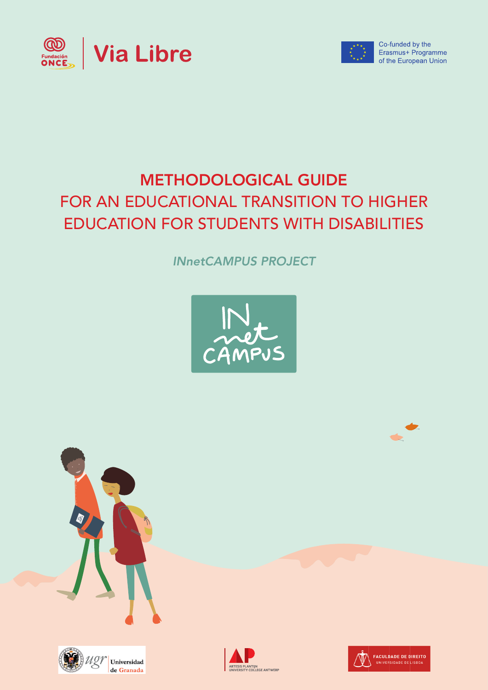



Co-funded by the Erasmus+ Programme of the European Union

# METHODOLOGICAL GUIDE FOR AN EDUCATIONAL TRANSITION TO HIGHER EDUCATION FOR STUDENTS WITH DISABILITIES

*INnetCAMPUS PROJECT*











 $\blacklozenge$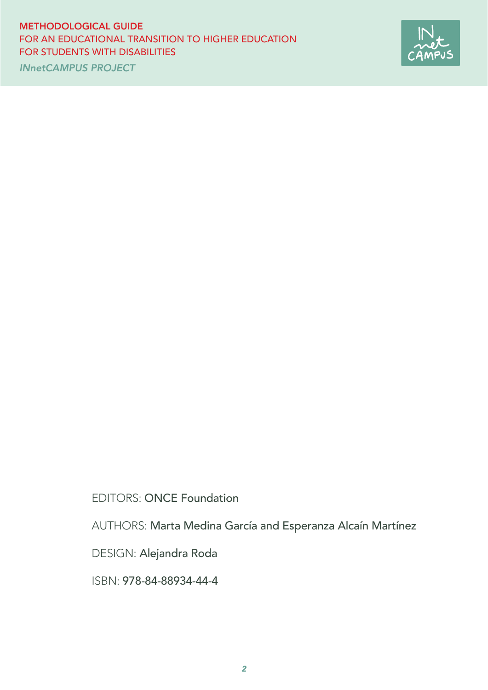## *INnetCAMPUS PROJECT* METHODOLOGICAL GUIDE FOR AN EDUCATIONAL TRANSITION TO HIGHER EDUCATION FOR STUDENTS WITH DISABILITIES



EDITORS: ONCE Foundation

AUTHORS: Marta Medina García and Esperanza Alcaín Martínez

DESIGN: Alejandra Roda

ISBN: 978-84-88934-44-4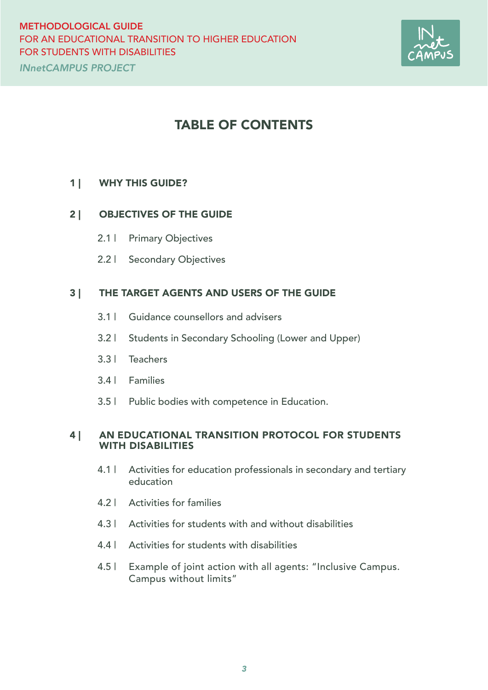

## TABLE OF CONTENTS

#### 1 | WHY THIS GUIDE?

#### 2 | OBJECTIVES OF THE GUIDE

- 2.1 | Primary Objectives
- 2.2 | Secondary Objectives

#### 3 | THE TARGET AGENTS AND USERS OF THE GUIDE

- 3.1 | Guidance counsellors and advisers
- 3.2 | Students in Secondary Schooling (Lower and Upper)
- 3.3 | Teachers
- 3.4 | Families
- 3.5 | Public bodies with competence in Education.

#### 4 | AN EDUCATIONAL TRANSITION PROTOCOL FOR STUDENTS WITH DISABILITIES

- 4.1 | Activities for education professionals in secondary and tertiary education
- 4.2 | Activities for families
- 4.3 | Activities for students with and without disabilities
- 4.4 | Activities for students with disabilities
- 4.5 | Example of joint action with all agents: "Inclusive Campus. Campus without limits"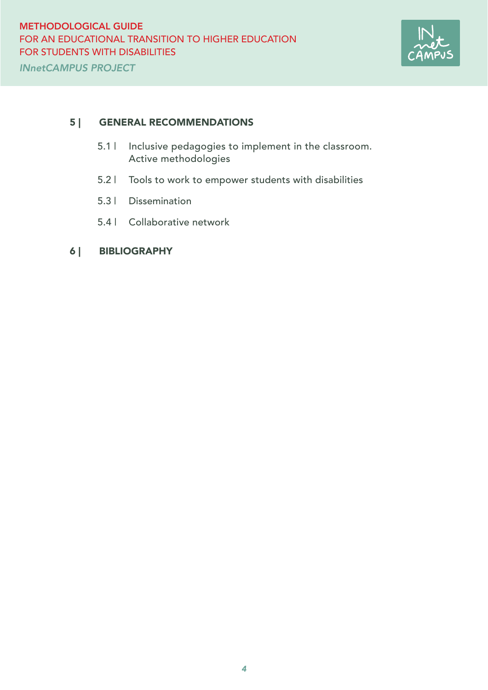

#### 5 | GENERAL RECOMMENDATIONS

- 5.1 | Inclusive pedagogies to implement in the classroom. Active methodologies
- 5.2 | Tools to work to empower students with disabilities
- 5.3 | Dissemination
- 5.4 | Collaborative network

#### 6 | BIBLIOGRAPHY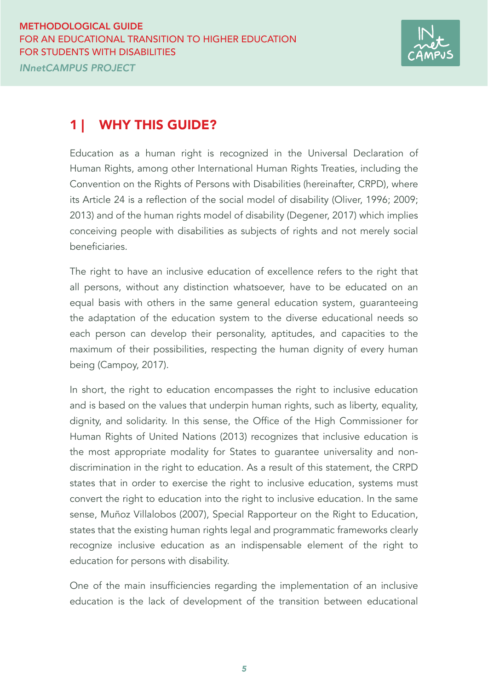

## 1 | WHY THIS GUIDE?

Education as a human right is recognized in the Universal Declaration of Human Rights, among other International Human Rights Treaties, including the Convention on the Rights of Persons with Disabilities (hereinafter, CRPD), where its Article 24 is a reflection of the social model of disability (Oliver, 1996; 2009; 2013) and of the human rights model of disability (Degener, 2017) which implies conceiving people with disabilities as subjects of rights and not merely social beneficiaries.

The right to have an inclusive education of excellence refers to the right that all persons, without any distinction whatsoever, have to be educated on an equal basis with others in the same general education system, guaranteeing the adaptation of the education system to the diverse educational needs so each person can develop their personality, aptitudes, and capacities to the maximum of their possibilities, respecting the human dignity of every human being (Campoy, 2017).

In short, the right to education encompasses the right to inclusive education and is based on the values that underpin human rights, such as liberty, equality, dignity, and solidarity. In this sense, the Office of the High Commissioner for Human Rights of United Nations (2013) recognizes that inclusive education is the most appropriate modality for States to guarantee universality and nondiscrimination in the right to education. As a result of this statement, the CRPD states that in order to exercise the right to inclusive education, systems must convert the right to education into the right to inclusive education. In the same sense, Muñoz Villalobos (2007), Special Rapporteur on the Right to Education, states that the existing human rights legal and programmatic frameworks clearly recognize inclusive education as an indispensable element of the right to education for persons with disability.

One of the main insufficiencies regarding the implementation of an inclusive education is the lack of development of the transition between educational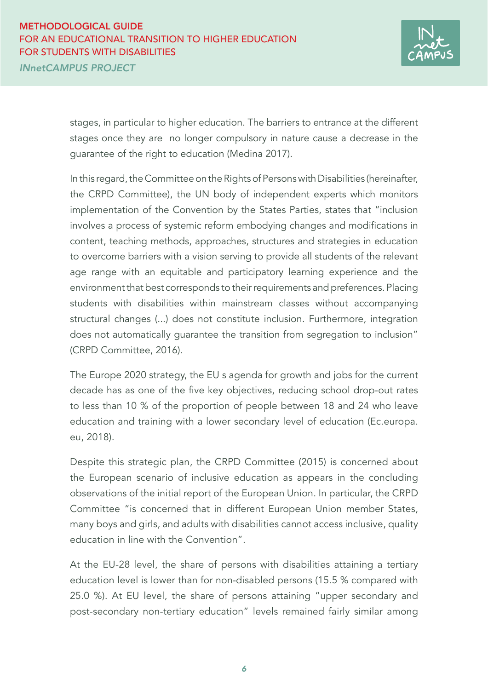

stages, in particular to higher education. The barriers to entrance at the different stages once they are no longer compulsory in nature cause a decrease in the guarantee of the right to education (Medina 2017).

In this regard, the Committee on the Rights of Persons with Disabilities (hereinafter, the CRPD Committee), the UN body of independent experts which monitors implementation of the Convention by the States Parties, states that "inclusion involves a process of systemic reform embodying changes and modifications in content, teaching methods, approaches, structures and strategies in education to overcome barriers with a vision serving to provide all students of the relevant age range with an equitable and participatory learning experience and the environment that best corresponds to their requirements and preferences. Placing students with disabilities within mainstream classes without accompanying structural changes (...) does not constitute inclusion. Furthermore, integration does not automatically guarantee the transition from segregation to inclusion" (CRPD Committee, 2016).

The Europe 2020 strategy, the EU s agenda for growth and jobs for the current decade has as one of the five key objectives, reducing school drop-out rates to less than 10 % of the proportion of people between 18 and 24 who leave education and training with a lower secondary level of education (Ec.europa. eu, 2018).

Despite this strategic plan, the CRPD Committee (2015) is concerned about the European scenario of inclusive education as appears in the concluding observations of the initial report of the European Union. In particular, the CRPD Committee "is concerned that in different European Union member States, many boys and girls, and adults with disabilities cannot access inclusive, quality education in line with the Convention".

At the EU-28 level, the share of persons with disabilities attaining a tertiary education level is lower than for non-disabled persons (15.5 % compared with 25.0 %). At EU level, the share of persons attaining "upper secondary and post-secondary non-tertiary education" levels remained fairly similar among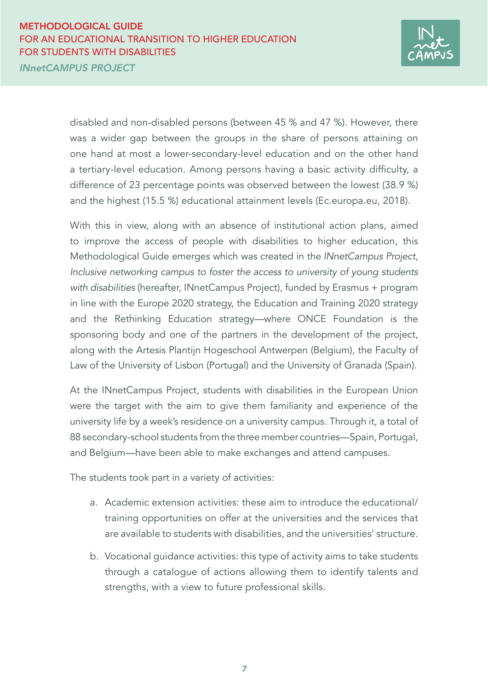### *INnetCAMPUS PROJECT* METHODOLOGICAL GUIDE FOR AN EDUCATIONAL TRANSITION TO HIGHER EDUCATION FOR STUDENTS WITH DISABILITIES



disabled and non-disabled persons (between 45 % and 47 %). However, there was a wider gap between the groups in the share of persons attaining on one hand at most a lower-secondary-level education and on the other hand a tertiary-level education. Among persons having a basic activity difficulty, a difference of 23 percentage points was observed between the lowest (38.9 %) and the highest (15.5 %) educational attainment levels (Ec.europa.eu, 2018).

With this in view, along with an absence of institutional action plans, aimed to improve the access of people with disabilities to higher education, this Methodological Guide emerges which was created in the *INnetCampus Project, Inclusive networking campus to foster the access to university of young students with disabilities* (hereafter, INnetCampus Project), funded by Erasmus + program in line with the Europe 2020 strategy, the Education and Training 2020 strategy and the Rethinking Education strategy—where ONCE Foundation is the sponsoring body and one of the partners in the development of the project, along with the Artesis Plantijn Hogeschool Antwerpen (Belgium), the Faculty of Law of the University of Lisbon (Portugal) and the University of Granada (Spain).

At the INnetCampus Project, students with disabilities in the European Union were the target with the aim to give them familiarity and experience of the university life by a week's residence on a university campus. Through it, a total of 88 secondary-school students from the three member countries—Spain, Portugal, and Belgium—have been able to make exchanges and attend campuses.

The students took part in a variety of activities:

- a. Academic extension activities: these aim to introduce the educational/ training opportunities on offer at the universities and the services that are available to students with disabilities, and the universities' structure.
- b. Vocational guidance activities: this type of activity aims to take students through a catalogue of actions allowing them to identify talents and strengths, with a view to future professional skills.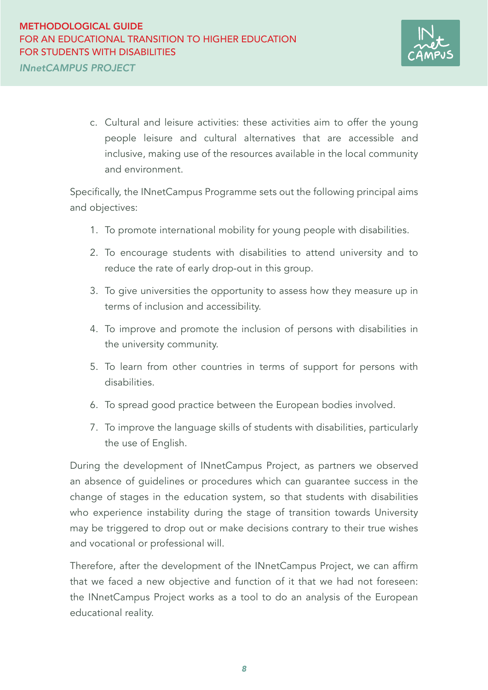

c. Cultural and leisure activities: these activities aim to offer the young people leisure and cultural alternatives that are accessible and inclusive, making use of the resources available in the local community and environment.

Specifically, the INnetCampus Programme sets out the following principal aims and objectives:

- 1. To promote international mobility for young people with disabilities.
- 2. To encourage students with disabilities to attend university and to reduce the rate of early drop-out in this group.
- 3. To give universities the opportunity to assess how they measure up in terms of inclusion and accessibility.
- 4. To improve and promote the inclusion of persons with disabilities in the university community.
- 5. To learn from other countries in terms of support for persons with disabilities.
- 6. To spread good practice between the European bodies involved.
- 7. To improve the language skills of students with disabilities, particularly the use of English.

During the development of INnetCampus Project, as partners we observed an absence of guidelines or procedures which can guarantee success in the change of stages in the education system, so that students with disabilities who experience instability during the stage of transition towards University may be triggered to drop out or make decisions contrary to their true wishes and vocational or professional will.

Therefore, after the development of the INnetCampus Project, we can affirm that we faced a new objective and function of it that we had not foreseen: the INnetCampus Project works as a tool to do an analysis of the European educational reality.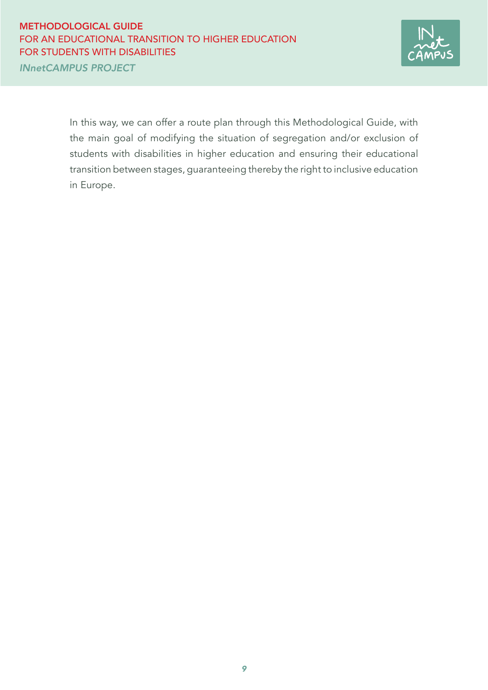

In this way, we can offer a route plan through this Methodological Guide, with the main goal of modifying the situation of segregation and/or exclusion of students with disabilities in higher education and ensuring their educational transition between stages, guaranteeing thereby the right to inclusive education in Europe.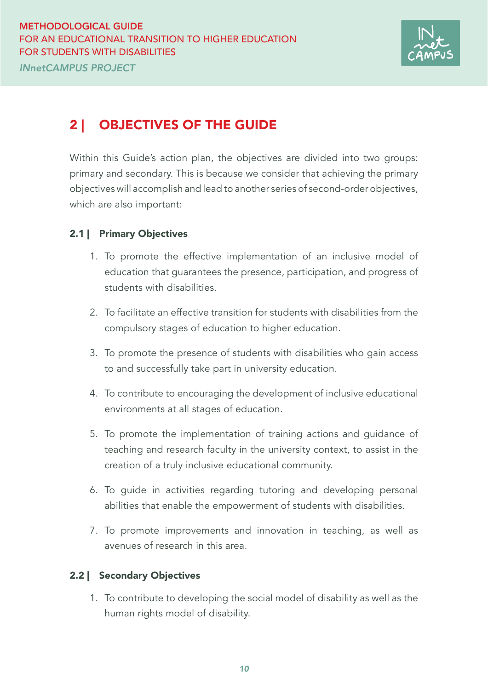

## 2 | OBJECTIVES OF THE GUIDE

Within this Guide's action plan, the objectives are divided into two groups: primary and secondary. This is because we consider that achieving the primary objectives will accomplish and lead to another series of second-order objectives, which are also important:

## 2.1 | Primary Objectives

- 1. To promote the effective implementation of an inclusive model of education that guarantees the presence, participation, and progress of students with disabilities.
- 2. To facilitate an effective transition for students with disabilities from the compulsory stages of education to higher education.
- 3. To promote the presence of students with disabilities who gain access to and successfully take part in university education.
- 4. To contribute to encouraging the development of inclusive educational environments at all stages of education.
- 5. To promote the implementation of training actions and guidance of teaching and research faculty in the university context, to assist in the creation of a truly inclusive educational community.
- 6. To guide in activities regarding tutoring and developing personal abilities that enable the empowerment of students with disabilities.
- 7. To promote improvements and innovation in teaching, as well as avenues of research in this area.

## 2.2 | Secondary Objectives

1. To contribute to developing the social model of disability as well as the human rights model of disability.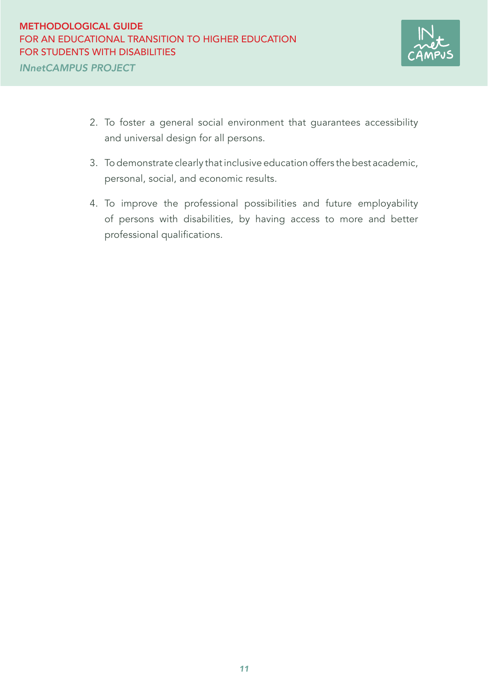

- 2. To foster a general social environment that guarantees accessibility and universal design for all persons.
- 3. To demonstrate clearly that inclusive education offers the best academic, personal, social, and economic results.
- 4. To improve the professional possibilities and future employability of persons with disabilities, by having access to more and better professional qualifications.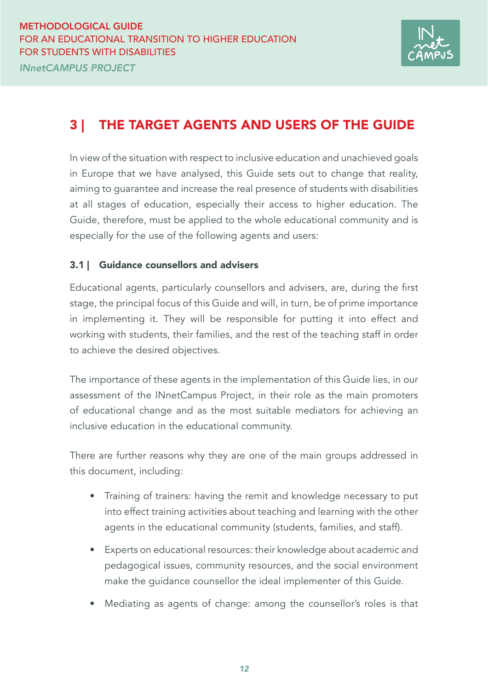

## 3 | THE TARGET AGENTS AND USERS OF THE GUIDE

In view of the situation with respect to inclusive education and unachieved goals in Europe that we have analysed, this Guide sets out to change that reality, aiming to guarantee and increase the real presence of students with disabilities at all stages of education, especially their access to higher education. The Guide, therefore, must be applied to the whole educational community and is especially for the use of the following agents and users:

### 3.1 | Guidance counsellors and advisers

Educational agents, particularly counsellors and advisers, are, during the first stage, the principal focus of this Guide and will, in turn, be of prime importance in implementing it. They will be responsible for putting it into effect and working with students, their families, and the rest of the teaching staff in order to achieve the desired objectives.

The importance of these agents in the implementation of this Guide lies, in our assessment of the INnetCampus Project, in their role as the main promoters of educational change and as the most suitable mediators for achieving an inclusive education in the educational community.

There are further reasons why they are one of the main groups addressed in this document, including:

- Training of trainers: having the remit and knowledge necessary to put into effect training activities about teaching and learning with the other agents in the educational community (students, families, and staff).
- Experts on educational resources: their knowledge about academic and pedagogical issues, community resources, and the social environment make the guidance counsellor the ideal implementer of this Guide.
- Mediating as agents of change: among the counsellor's roles is that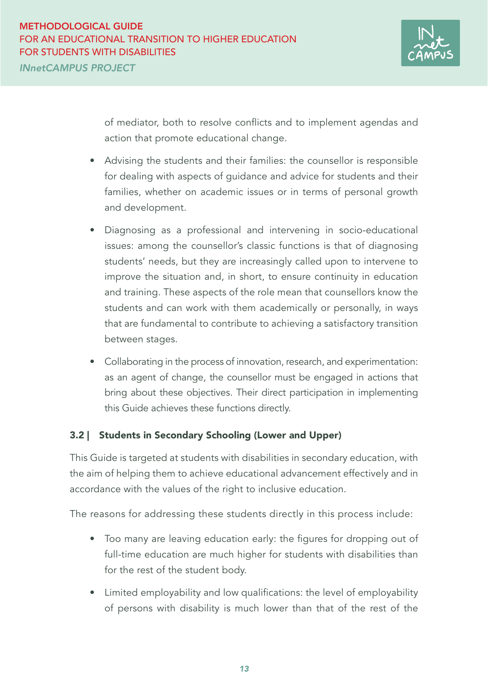

of mediator, both to resolve conflicts and to implement agendas and action that promote educational change.

- Advising the students and their families: the counsellor is responsible for dealing with aspects of guidance and advice for students and their families, whether on academic issues or in terms of personal growth and development.
- Diagnosing as a professional and intervening in socio-educational issues: among the counsellor's classic functions is that of diagnosing students' needs, but they are increasingly called upon to intervene to improve the situation and, in short, to ensure continuity in education and training. These aspects of the role mean that counsellors know the students and can work with them academically or personally, in ways that are fundamental to contribute to achieving a satisfactory transition between stages.
- Collaborating in the process of innovation, research, and experimentation: as an agent of change, the counsellor must be engaged in actions that bring about these objectives. Their direct participation in implementing this Guide achieves these functions directly.

### 3.2 | Students in Secondary Schooling (Lower and Upper)

This Guide is targeted at students with disabilities in secondary education, with the aim of helping them to achieve educational advancement effectively and in accordance with the values of the right to inclusive education.

The reasons for addressing these students directly in this process include:

- Too many are leaving education early: the figures for dropping out of full-time education are much higher for students with disabilities than for the rest of the student body.
- Limited employability and low qualifications: the level of employability of persons with disability is much lower than that of the rest of the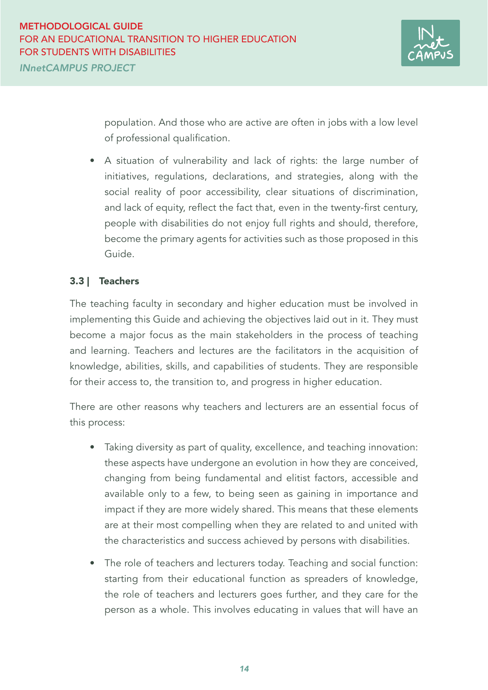

population. And those who are active are often in jobs with a low level of professional qualification.

• A situation of vulnerability and lack of rights: the large number of initiatives, regulations, declarations, and strategies, along with the social reality of poor accessibility, clear situations of discrimination, and lack of equity, reflect the fact that, even in the twenty-first century, people with disabilities do not enjoy full rights and should, therefore, become the primary agents for activities such as those proposed in this Guide.

### 3.3 | Teachers

The teaching faculty in secondary and higher education must be involved in implementing this Guide and achieving the objectives laid out in it. They must become a major focus as the main stakeholders in the process of teaching and learning. Teachers and lectures are the facilitators in the acquisition of knowledge, abilities, skills, and capabilities of students. They are responsible for their access to, the transition to, and progress in higher education.

There are other reasons why teachers and lecturers are an essential focus of this process:

- Taking diversity as part of quality, excellence, and teaching innovation: these aspects have undergone an evolution in how they are conceived, changing from being fundamental and elitist factors, accessible and available only to a few, to being seen as gaining in importance and impact if they are more widely shared. This means that these elements are at their most compelling when they are related to and united with the characteristics and success achieved by persons with disabilities.
- The role of teachers and lecturers today. Teaching and social function: starting from their educational function as spreaders of knowledge, the role of teachers and lecturers goes further, and they care for the person as a whole. This involves educating in values that will have an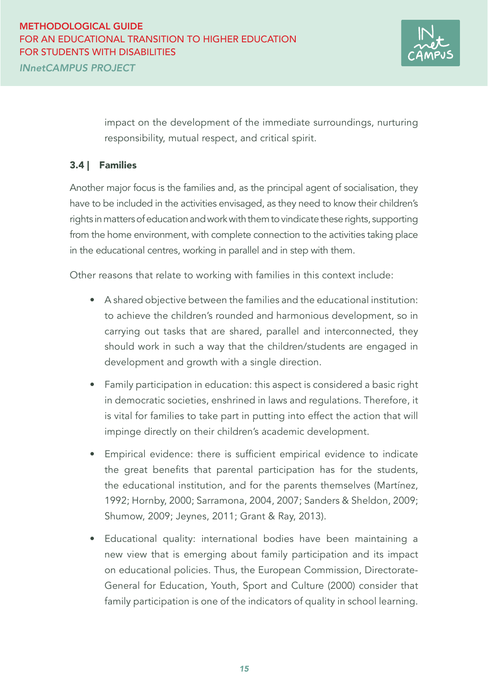

impact on the development of the immediate surroundings, nurturing responsibility, mutual respect, and critical spirit.

### 3.4 | Families

Another major focus is the families and, as the principal agent of socialisation, they have to be included in the activities envisaged, as they need to know their children's rights in matters of education and work with them to vindicate these rights, supporting from the home environment, with complete connection to the activities taking place in the educational centres, working in parallel and in step with them.

Other reasons that relate to working with families in this context include:

- A shared objective between the families and the educational institution: to achieve the children's rounded and harmonious development, so in carrying out tasks that are shared, parallel and interconnected, they should work in such a way that the children/students are engaged in development and growth with a single direction.
- Family participation in education: this aspect is considered a basic right in democratic societies, enshrined in laws and regulations. Therefore, it is vital for families to take part in putting into effect the action that will impinge directly on their children's academic development.
- Empirical evidence: there is sufficient empirical evidence to indicate the great benefits that parental participation has for the students, the educational institution, and for the parents themselves (Martínez, 1992; Hornby, 2000; Sarramona, 2004, 2007; Sanders & Sheldon, 2009; Shumow, 2009; Jeynes, 2011; Grant & Ray, 2013).
- Educational quality: international bodies have been maintaining a new view that is emerging about family participation and its impact on educational policies. Thus, the European Commission, Directorate-General for Education, Youth, Sport and Culture (2000) consider that family participation is one of the indicators of quality in school learning.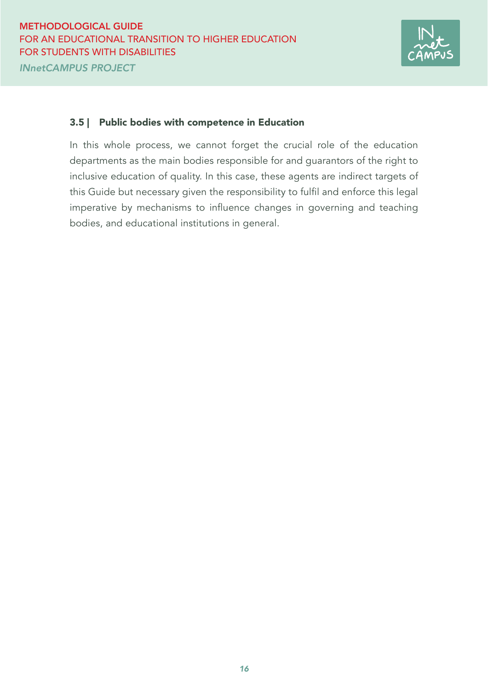

#### 3.5 | Public bodies with competence in Education

In this whole process, we cannot forget the crucial role of the education departments as the main bodies responsible for and guarantors of the right to inclusive education of quality. In this case, these agents are indirect targets of this Guide but necessary given the responsibility to fulfil and enforce this legal imperative by mechanisms to influence changes in governing and teaching bodies, and educational institutions in general.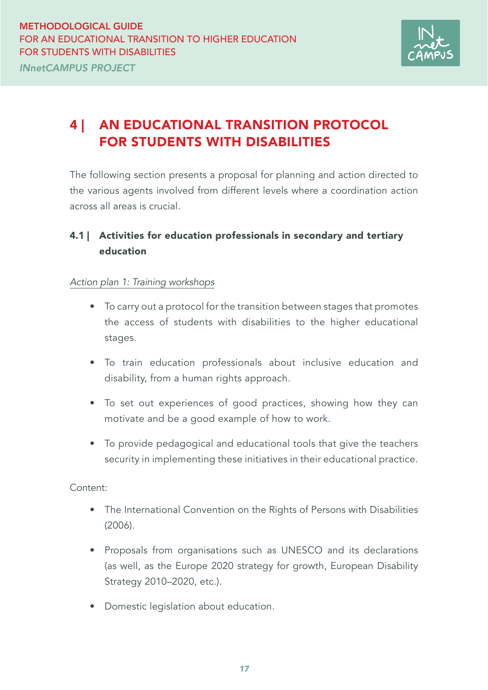

## 4 | AN EDUCATIONAL TRANSITION PROTOCOL FOR STUDENTS WITH DISABILITIES

The following section presents a proposal for planning and action directed to the various agents involved from different levels where a coordination action across all areas is crucial.

## 4.1 | Activities for education professionals in secondary and tertiary education

#### *Action plan 1: Training workshops*

- To carry out a protocol for the transition between stages that promotes the access of students with disabilities to the higher educational stages.
- To train education professionals about inclusive education and disability, from a human rights approach.
- To set out experiences of good practices, showing how they can motivate and be a good example of how to work.
- To provide pedagogical and educational tools that give the teachers security in implementing these initiatives in their educational practice.

Content:

- The International Convention on the Rights of Persons with Disabilities (2006).
- Proposals from organisations such as UNESCO and its declarations (as well, as the Europe 2020 strategy for growth, European Disability Strategy 2010–2020, etc.).
- Domestic legislation about education.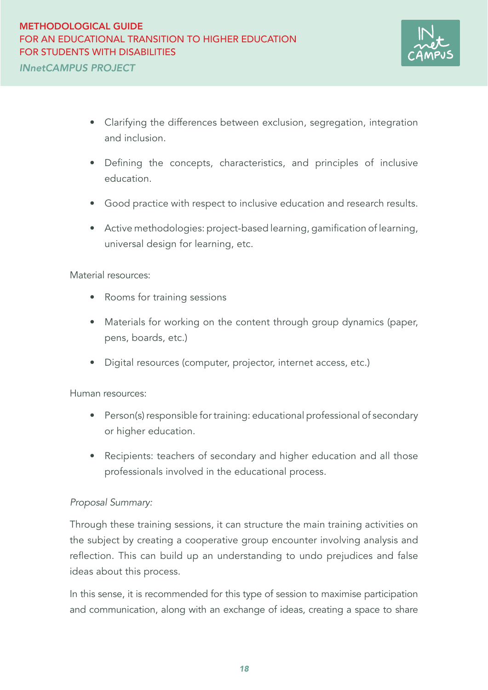

- Clarifying the differences between exclusion, segregation, integration and inclusion.
- Defining the concepts, characteristics, and principles of inclusive education.
- Good practice with respect to inclusive education and research results.
- Active methodologies: project-based learning, gamification of learning, universal design for learning, etc.

Material resources:

- Rooms for training sessions
- Materials for working on the content through group dynamics (paper, pens, boards, etc.)
- Digital resources (computer, projector, internet access, etc.)

Human resources:

- Person(s) responsible for training: educational professional of secondary or higher education.
- Recipients: teachers of secondary and higher education and all those professionals involved in the educational process.

#### *Proposal Summary:*

Through these training sessions, it can structure the main training activities on the subject by creating a cooperative group encounter involving analysis and reflection. This can build up an understanding to undo prejudices and false ideas about this process.

In this sense, it is recommended for this type of session to maximise participation and communication, along with an exchange of ideas, creating a space to share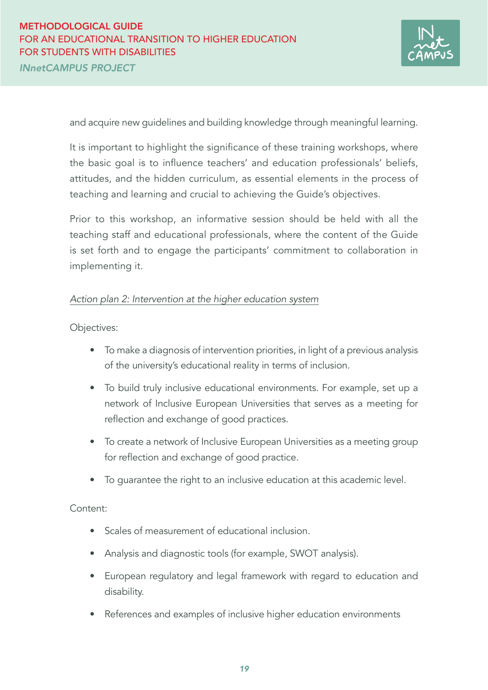

and acquire new guidelines and building knowledge through meaningful learning.

It is important to highlight the significance of these training workshops, where the basic goal is to influence teachers' and education professionals' beliefs, attitudes, and the hidden curriculum, as essential elements in the process of teaching and learning and crucial to achieving the Guide's objectives.

Prior to this workshop, an informative session should be held with all the teaching staff and educational professionals, where the content of the Guide is set forth and to engage the participants' commitment to collaboration in implementing it.

#### *Action plan 2: Intervention at the higher education system*

Objectives:

- To make a diagnosis of intervention priorities, in light of a previous analysis of the university's educational reality in terms of inclusion.
- To build truly inclusive educational environments. For example, set up a network of Inclusive European Universities that serves as a meeting for reflection and exchange of good practices.
- To create a network of Inclusive European Universities as a meeting group for reflection and exchange of good practice.
- To guarantee the right to an inclusive education at this academic level.

#### Content:

- Scales of measurement of educational inclusion.
- Analysis and diagnostic tools (for example, SWOT analysis).
- European regulatory and legal framework with regard to education and disability.
- References and examples of inclusive higher education environments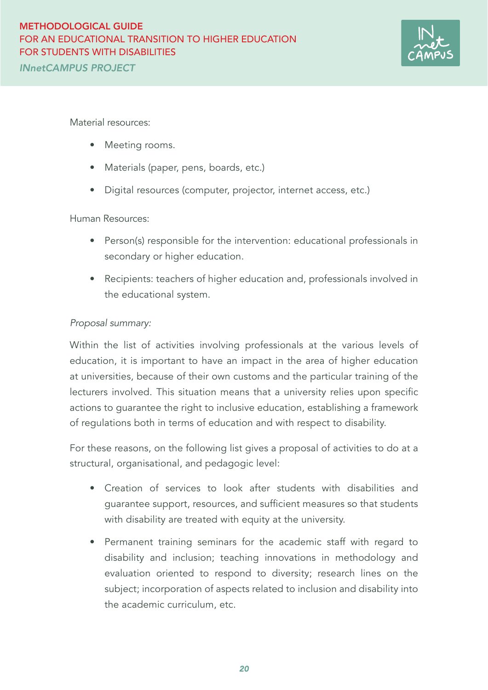

Material resources:

- Meeting rooms.
- Materials (paper, pens, boards, etc.)
- Digital resources (computer, projector, internet access, etc.)

#### Human Resources:

- Person(s) responsible for the intervention: educational professionals in secondary or higher education.
- Recipients: teachers of higher education and, professionals involved in the educational system.

#### *Proposal summary:*

Within the list of activities involving professionals at the various levels of education, it is important to have an impact in the area of higher education at universities, because of their own customs and the particular training of the lecturers involved. This situation means that a university relies upon specific actions to guarantee the right to inclusive education, establishing a framework of regulations both in terms of education and with respect to disability.

For these reasons, on the following list gives a proposal of activities to do at a structural, organisational, and pedagogic level:

- Creation of services to look after students with disabilities and guarantee support, resources, and sufficient measures so that students with disability are treated with equity at the university.
- Permanent training seminars for the academic staff with regard to disability and inclusion; teaching innovations in methodology and evaluation oriented to respond to diversity; research lines on the subject; incorporation of aspects related to inclusion and disability into the academic curriculum, etc.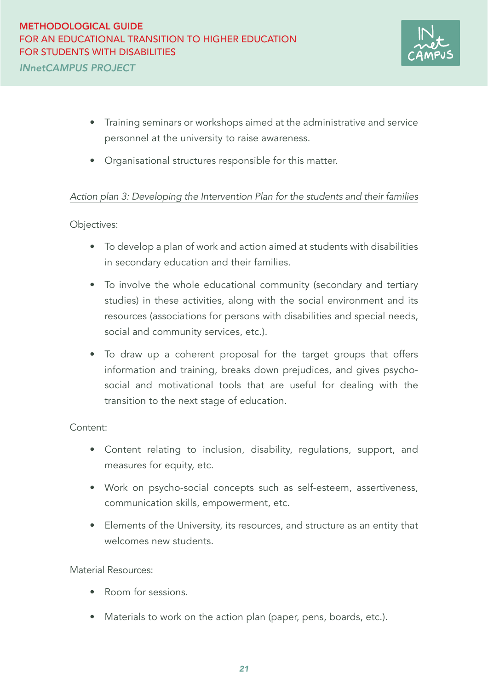

- Training seminars or workshops aimed at the administrative and service personnel at the university to raise awareness.
- Organisational structures responsible for this matter.

#### *Action plan 3: Developing the Intervention Plan for the students and their families*

#### Objectives:

- To develop a plan of work and action aimed at students with disabilities in secondary education and their families.
- To involve the whole educational community (secondary and tertiary studies) in these activities, along with the social environment and its resources (associations for persons with disabilities and special needs, social and community services, etc.).
- To draw up a coherent proposal for the target groups that offers information and training, breaks down prejudices, and gives psychosocial and motivational tools that are useful for dealing with the transition to the next stage of education.

#### Content:

- Content relating to inclusion, disability, regulations, support, and measures for equity, etc.
- Work on psycho-social concepts such as self-esteem, assertiveness, communication skills, empowerment, etc.
- Elements of the University, its resources, and structure as an entity that welcomes new students.

#### Material Resources:

- Room for sessions.
- Materials to work on the action plan (paper, pens, boards, etc.).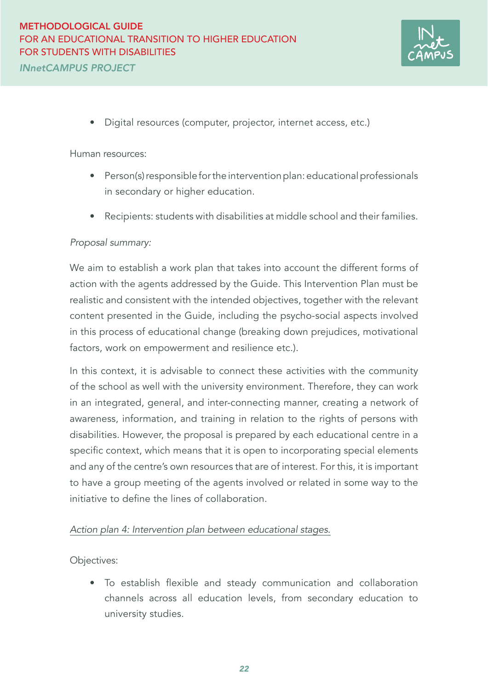

• Digital resources (computer, projector, internet access, etc.)

Human resources:

- Person(s) responsible for the intervention plan: educational professionals in secondary or higher education.
- Recipients: students with disabilities at middle school and their families.

#### *Proposal summary:*

We aim to establish a work plan that takes into account the different forms of action with the agents addressed by the Guide. This Intervention Plan must be realistic and consistent with the intended objectives, together with the relevant content presented in the Guide, including the psycho-social aspects involved in this process of educational change (breaking down prejudices, motivational factors, work on empowerment and resilience etc.).

In this context, it is advisable to connect these activities with the community of the school as well with the university environment. Therefore, they can work in an integrated, general, and inter-connecting manner, creating a network of awareness, information, and training in relation to the rights of persons with disabilities. However, the proposal is prepared by each educational centre in a specific context, which means that it is open to incorporating special elements and any of the centre's own resources that are of interest. For this, it is important to have a group meeting of the agents involved or related in some way to the initiative to define the lines of collaboration.

#### *Action plan 4: Intervention plan between educational stages.*

Objectives:

• To establish flexible and steady communication and collaboration channels across all education levels, from secondary education to university studies.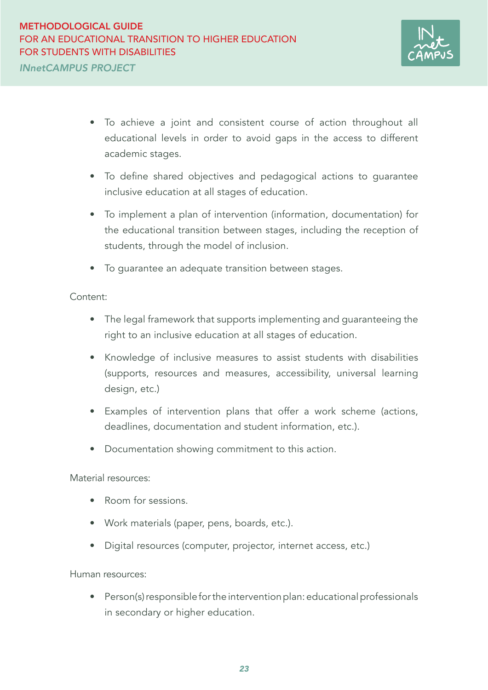

- To achieve a joint and consistent course of action throughout all educational levels in order to avoid gaps in the access to different academic stages.
- To define shared objectives and pedagogical actions to guarantee inclusive education at all stages of education.
- To implement a plan of intervention (information, documentation) for the educational transition between stages, including the reception of students, through the model of inclusion.
- To guarantee an adequate transition between stages.

Content:

- The legal framework that supports implementing and guaranteeing the right to an inclusive education at all stages of education.
- Knowledge of inclusive measures to assist students with disabilities (supports, resources and measures, accessibility, universal learning design, etc.)
- Examples of intervention plans that offer a work scheme (actions, deadlines, documentation and student information, etc.).
- Documentation showing commitment to this action.

Material resources:

- Room for sessions.
- Work materials (paper, pens, boards, etc.).
- Digital resources (computer, projector, internet access, etc.)

Human resources:

• Person(s) responsible for the intervention plan: educational professionals in secondary or higher education.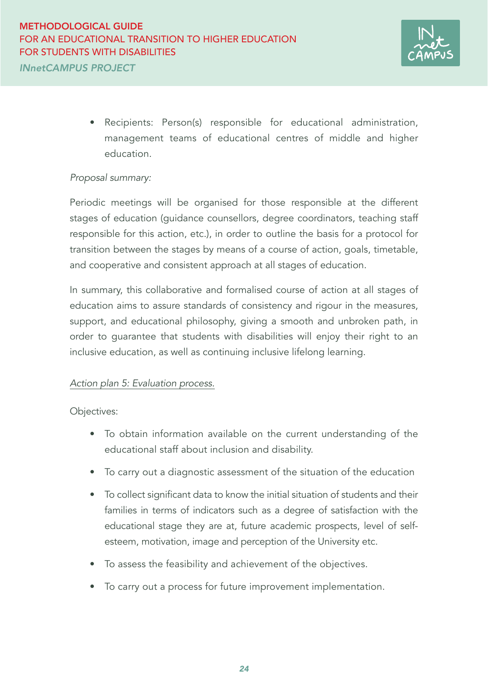

• Recipients: Person(s) responsible for educational administration, management teams of educational centres of middle and higher education.

#### *Proposal summary:*

Periodic meetings will be organised for those responsible at the different stages of education (guidance counsellors, degree coordinators, teaching staff responsible for this action, etc.), in order to outline the basis for a protocol for transition between the stages by means of a course of action, goals, timetable, and cooperative and consistent approach at all stages of education.

In summary, this collaborative and formalised course of action at all stages of education aims to assure standards of consistency and rigour in the measures, support, and educational philosophy, giving a smooth and unbroken path, in order to guarantee that students with disabilities will enjoy their right to an inclusive education, as well as continuing inclusive lifelong learning.

#### *Action plan 5: Evaluation process.*

Objectives:

- To obtain information available on the current understanding of the educational staff about inclusion and disability.
- To carry out a diagnostic assessment of the situation of the education
- To collect significant data to know the initial situation of students and their families in terms of indicators such as a degree of satisfaction with the educational stage they are at, future academic prospects, level of selfesteem, motivation, image and perception of the University etc.
- To assess the feasibility and achievement of the objectives.
- To carry out a process for future improvement implementation.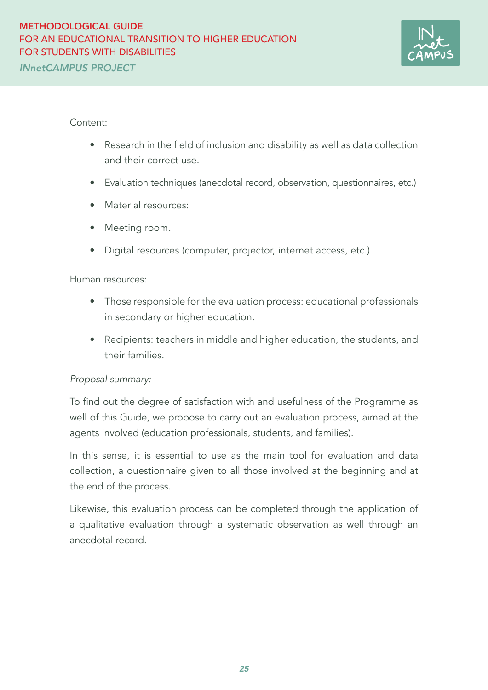

#### Content:

- Research in the field of inclusion and disability as well as data collection and their correct use.
- Evaluation techniques (anecdotal record, observation, questionnaires, etc.)
- Material resources:
- Meeting room.
- Digital resources (computer, projector, internet access, etc.)

#### Human resources:

- Those responsible for the evaluation process: educational professionals in secondary or higher education.
- Recipients: teachers in middle and higher education, the students, and their families.

#### *Proposal summary:*

To find out the degree of satisfaction with and usefulness of the Programme as well of this Guide, we propose to carry out an evaluation process, aimed at the agents involved (education professionals, students, and families).

In this sense, it is essential to use as the main tool for evaluation and data collection, a questionnaire given to all those involved at the beginning and at the end of the process.

Likewise, this evaluation process can be completed through the application of a qualitative evaluation through a systematic observation as well through an anecdotal record.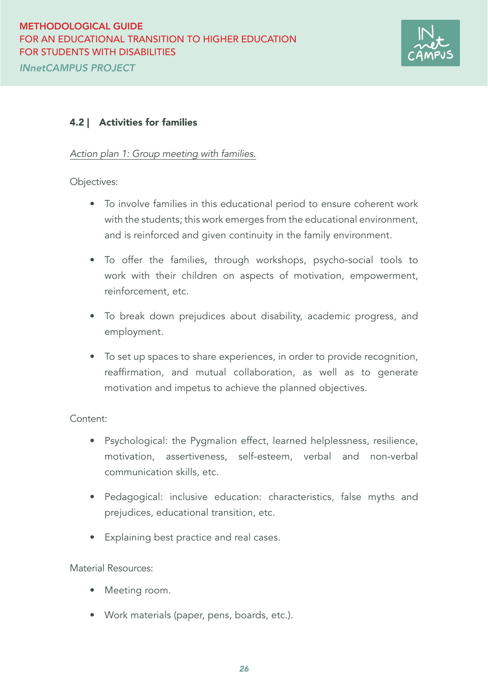

#### 4.2 | Activities for families

#### *Action plan 1: Group meeting with families.*

Objectives:

- To involve families in this educational period to ensure coherent work with the students; this work emerges from the educational environment, and is reinforced and given continuity in the family environment.
- To offer the families, through workshops, psycho-social tools to work with their children on aspects of motivation, empowerment, reinforcement, etc.
- To break down prejudices about disability, academic progress, and employment.
- To set up spaces to share experiences, in order to provide recognition, reaffirmation, and mutual collaboration, as well as to generate motivation and impetus to achieve the planned objectives.

Content:

- Psychological: the Pygmalion effect, learned helplessness, resilience, motivation, assertiveness, self-esteem, verbal and non-verbal communication skills, etc.
- Pedagogical: inclusive education: characteristics, false myths and prejudices, educational transition, etc.
- Explaining best practice and real cases.

Material Resources:

- Meeting room.
- Work materials (paper, pens, boards, etc.).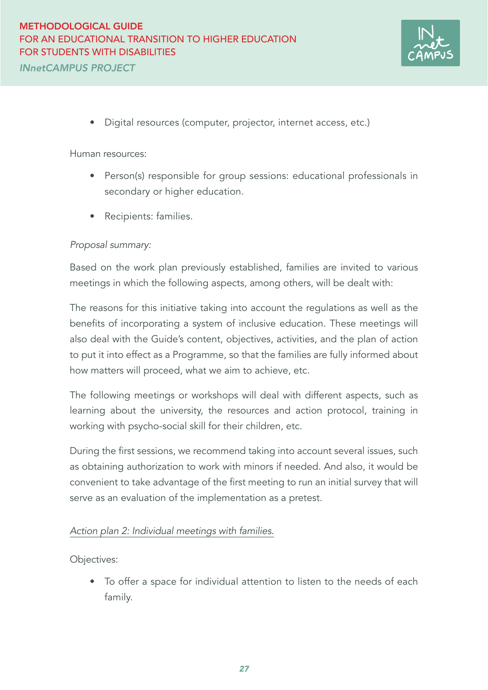

• Digital resources (computer, projector, internet access, etc.)

#### Human resources:

- Person(s) responsible for group sessions: educational professionals in secondary or higher education.
- Recipients: families.

#### *Proposal summary:*

Based on the work plan previously established, families are invited to various meetings in which the following aspects, among others, will be dealt with:

The reasons for this initiative taking into account the regulations as well as the benefits of incorporating a system of inclusive education. These meetings will also deal with the Guide's content, objectives, activities, and the plan of action to put it into effect as a Programme, so that the families are fully informed about how matters will proceed, what we aim to achieve, etc.

The following meetings or workshops will deal with different aspects, such as learning about the university, the resources and action protocol, training in working with psycho-social skill for their children, etc.

During the first sessions, we recommend taking into account several issues, such as obtaining authorization to work with minors if needed. And also, it would be convenient to take advantage of the first meeting to run an initial survey that will serve as an evaluation of the implementation as a pretest.

#### *Action plan 2: Individual meetings with families.*

Objectives:

• To offer a space for individual attention to listen to the needs of each family.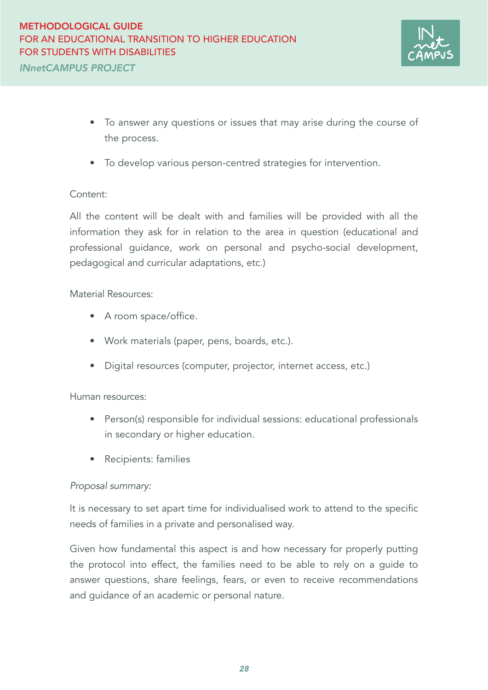

- To answer any questions or issues that may arise during the course of the process.
- To develop various person-centred strategies for intervention.

#### Content:

All the content will be dealt with and families will be provided with all the information they ask for in relation to the area in question (educational and professional guidance, work on personal and psycho-social development, pedagogical and curricular adaptations, etc.)

#### Material Resources:

- A room space/office.
- Work materials (paper, pens, boards, etc.).
- Digital resources (computer, projector, internet access, etc.)

#### Human resources:

- Person(s) responsible for individual sessions: educational professionals in secondary or higher education.
- Recipients: families

#### *Proposal summary:*

It is necessary to set apart time for individualised work to attend to the specific needs of families in a private and personalised way.

Given how fundamental this aspect is and how necessary for properly putting the protocol into effect, the families need to be able to rely on a guide to answer questions, share feelings, fears, or even to receive recommendations and guidance of an academic or personal nature.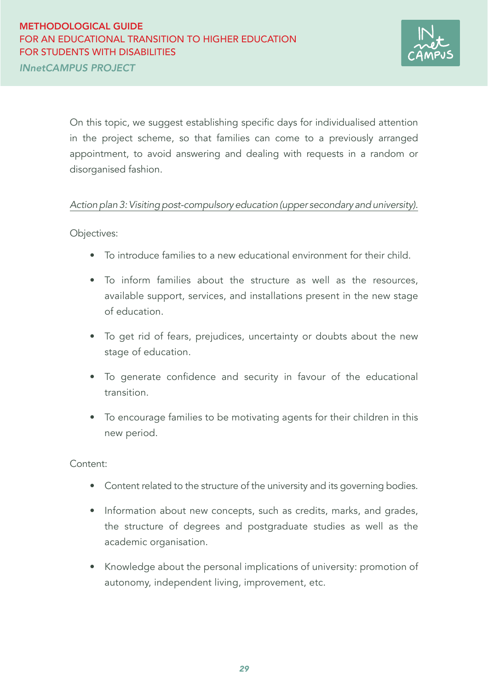

On this topic, we suggest establishing specific days for individualised attention in the project scheme, so that families can come to a previously arranged appointment, to avoid answering and dealing with requests in a random or disorganised fashion.

#### *Action plan 3: Visiting post-compulsory education (upper secondary and university).*

Objectives:

- To introduce families to a new educational environment for their child.
- To inform families about the structure as well as the resources, available support, services, and installations present in the new stage of education.
- To get rid of fears, prejudices, uncertainty or doubts about the new stage of education.
- To generate confidence and security in favour of the educational transition.
- To encourage families to be motivating agents for their children in this new period.

Content:

- Content related to the structure of the university and its governing bodies.
- Information about new concepts, such as credits, marks, and grades, the structure of degrees and postgraduate studies as well as the academic organisation.
- Knowledge about the personal implications of university: promotion of autonomy, independent living, improvement, etc.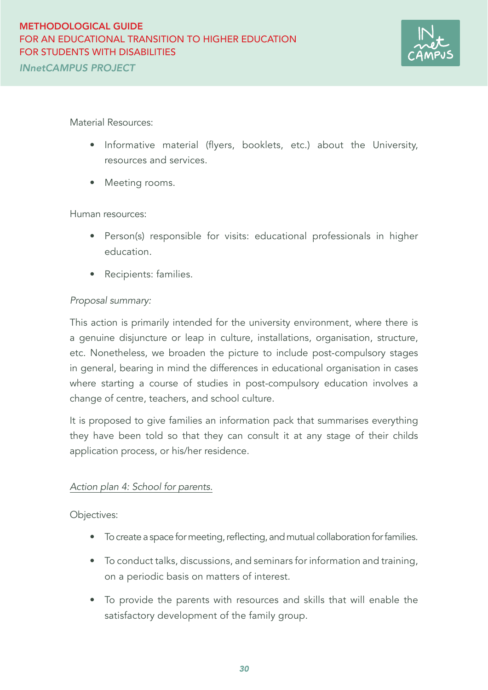

Material Resources:

- Informative material (flyers, booklets, etc.) about the University, resources and services.
- Meeting rooms.

Human resources:

- Person(s) responsible for visits: educational professionals in higher education.
- Recipients: families.

#### *Proposal summary:*

This action is primarily intended for the university environment, where there is a genuine disjuncture or leap in culture, installations, organisation, structure, etc. Nonetheless, we broaden the picture to include post-compulsory stages in general, bearing in mind the differences in educational organisation in cases where starting a course of studies in post-compulsory education involves a change of centre, teachers, and school culture.

It is proposed to give families an information pack that summarises everything they have been told so that they can consult it at any stage of their childs application process, or his/her residence.

#### *Action plan 4: School for parents.*

Objectives:

- To create a space for meeting, reflecting, and mutual collaboration for families.
- To conduct talks, discussions, and seminars for information and training, on a periodic basis on matters of interest.
- To provide the parents with resources and skills that will enable the satisfactory development of the family group.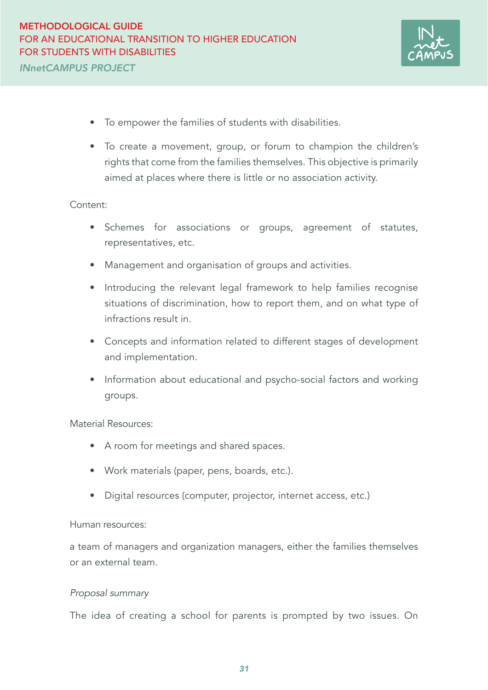

- To empower the families of students with disabilities.
- To create a movement, group, or forum to champion the children's rights that come from the families themselves. This objective is primarily aimed at places where there is little or no association activity.

#### Content:

- Schemes for associations or groups, agreement of statutes, representatives, etc.
- Management and organisation of groups and activities.
- Introducing the relevant legal framework to help families recognise situations of discrimination, how to report them, and on what type of infractions result in.
- Concepts and information related to different stages of development and implementation.
- Information about educational and psycho-social factors and working groups.

Material Resources:

- A room for meetings and shared spaces.
- Work materials (paper, pens, boards, etc.).
- Digital resources (computer, projector, internet access, etc.)

#### Human resources:

a team of managers and organization managers, either the families themselves or an external team.

#### *Proposal summary*

The idea of creating a school for parents is prompted by two issues. On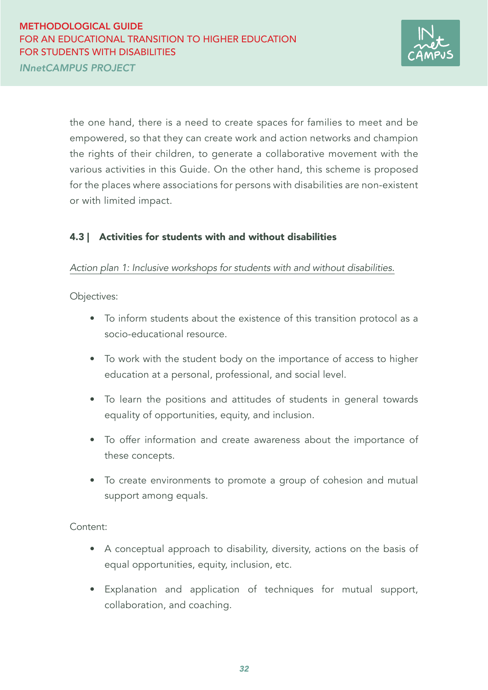

the one hand, there is a need to create spaces for families to meet and be empowered, so that they can create work and action networks and champion the rights of their children, to generate a collaborative movement with the various activities in this Guide. On the other hand, this scheme is proposed for the places where associations for persons with disabilities are non-existent or with limited impact.

#### 4.3 | Activities for students with and without disabilities

#### *Action plan 1: Inclusive workshops for students with and without disabilities.*

Objectives:

- To inform students about the existence of this transition protocol as a socio-educational resource.
- To work with the student body on the importance of access to higher education at a personal, professional, and social level.
- To learn the positions and attitudes of students in general towards equality of opportunities, equity, and inclusion.
- To offer information and create awareness about the importance of these concepts.
- To create environments to promote a group of cohesion and mutual support among equals.

Content:

- A conceptual approach to disability, diversity, actions on the basis of equal opportunities, equity, inclusion, etc.
- Explanation and application of techniques for mutual support, collaboration, and coaching.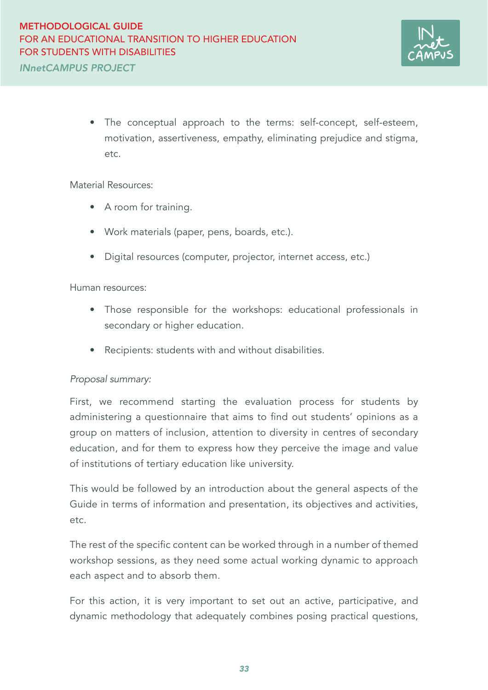

• The conceptual approach to the terms: self-concept, self-esteem, motivation, assertiveness, empathy, eliminating prejudice and stigma, etc.

#### Material Resources:

- A room for training.
- Work materials (paper, pens, boards, etc.).
- Digital resources (computer, projector, internet access, etc.)

#### Human resources:

- Those responsible for the workshops: educational professionals in secondary or higher education.
- Recipients: students with and without disabilities.

#### *Proposal summary:*

First, we recommend starting the evaluation process for students by administering a questionnaire that aims to find out students' opinions as a group on matters of inclusion, attention to diversity in centres of secondary education, and for them to express how they perceive the image and value of institutions of tertiary education like university.

This would be followed by an introduction about the general aspects of the Guide in terms of information and presentation, its objectives and activities, etc.

The rest of the specific content can be worked through in a number of themed workshop sessions, as they need some actual working dynamic to approach each aspect and to absorb them.

For this action, it is very important to set out an active, participative, and dynamic methodology that adequately combines posing practical questions,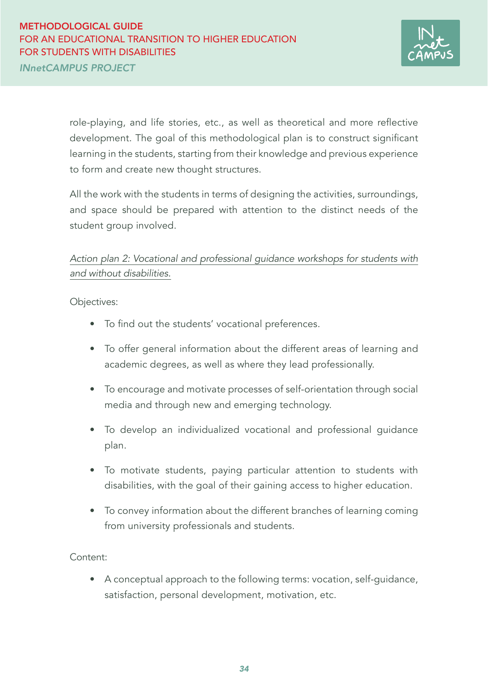

role-playing, and life stories, etc., as well as theoretical and more reflective development. The goal of this methodological plan is to construct significant learning in the students, starting from their knowledge and previous experience to form and create new thought structures.

All the work with the students in terms of designing the activities, surroundings, and space should be prepared with attention to the distinct needs of the student group involved.

*Action plan 2: Vocational and professional guidance workshops for students with and without disabilities.*

Objectives:

- To find out the students' vocational preferences.
- To offer general information about the different areas of learning and academic degrees, as well as where they lead professionally.
- To encourage and motivate processes of self-orientation through social media and through new and emerging technology.
- To develop an individualized vocational and professional guidance plan.
- To motivate students, paying particular attention to students with disabilities, with the goal of their gaining access to higher education.
- To convey information about the different branches of learning coming from university professionals and students.

Content:

• A conceptual approach to the following terms: vocation, self-guidance, satisfaction, personal development, motivation, etc.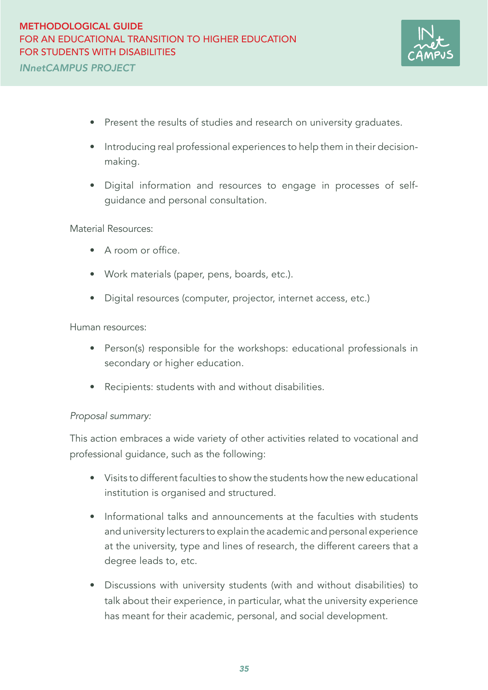

- Present the results of studies and research on university graduates.
- Introducing real professional experiences to help them in their decisionmaking.
- Digital information and resources to engage in processes of selfguidance and personal consultation.

Material Resources:

- A room or office.
- Work materials (paper, pens, boards, etc.).
- Digital resources (computer, projector, internet access, etc.)

Human resources:

- Person(s) responsible for the workshops: educational professionals in secondary or higher education.
- Recipients: students with and without disabilities.

#### *Proposal summary:*

This action embraces a wide variety of other activities related to vocational and professional guidance, such as the following:

- Visits to different faculties to show the students how the new educational institution is organised and structured.
- Informational talks and announcements at the faculties with students and university lecturers to explain the academic and personal experience at the university, type and lines of research, the different careers that a degree leads to, etc.
- Discussions with university students (with and without disabilities) to talk about their experience, in particular, what the university experience has meant for their academic, personal, and social development.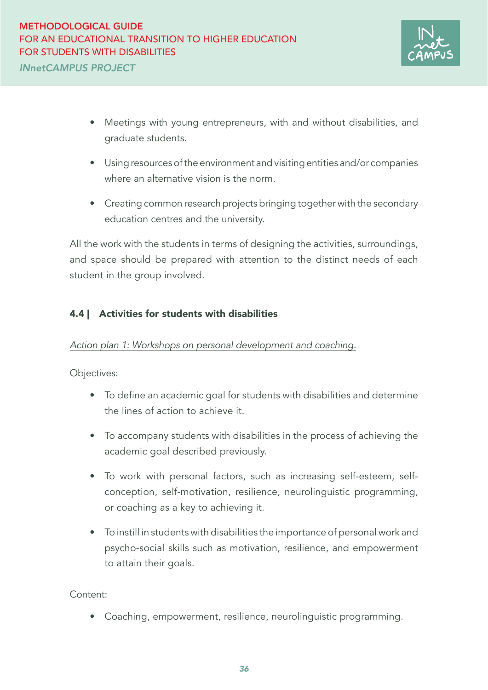

- Meetings with young entrepreneurs, with and without disabilities, and graduate students.
- Using resources of the environment and visiting entities and/or companies where an alternative vision is the norm.
- Creating common research projects bringing together with the secondary education centres and the university.

All the work with the students in terms of designing the activities, surroundings, and space should be prepared with attention to the distinct needs of each student in the group involved.

## 4.4 | Activities for students with disabilities

#### *Action plan 1: Workshops on personal development and coaching.*

Objectives:

- To define an academic goal for students with disabilities and determine the lines of action to achieve it.
- To accompany students with disabilities in the process of achieving the academic goal described previously.
- To work with personal factors, such as increasing self-esteem, selfconception, self-motivation, resilience, neurolinguistic programming, or coaching as a key to achieving it.
- To instill in students with disabilities the importance of personal work and psycho-social skills such as motivation, resilience, and empowerment to attain their goals.

Content:

• Coaching, empowerment, resilience, neurolinguistic programming.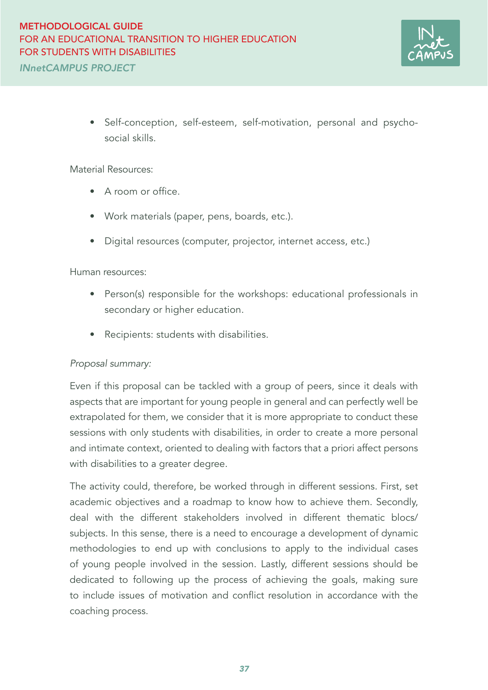

• Self-conception, self-esteem, self-motivation, personal and psychosocial skills.

#### Material Resources:

- A room or office.
- Work materials (paper, pens, boards, etc.).
- Digital resources (computer, projector, internet access, etc.)

#### Human resources:

- Person(s) responsible for the workshops: educational professionals in secondary or higher education.
- Recipients: students with disabilities.

#### *Proposal summary:*

Even if this proposal can be tackled with a group of peers, since it deals with aspects that are important for young people in general and can perfectly well be extrapolated for them, we consider that it is more appropriate to conduct these sessions with only students with disabilities, in order to create a more personal and intimate context, oriented to dealing with factors that a priori affect persons with disabilities to a greater degree.

The activity could, therefore, be worked through in different sessions. First, set academic objectives and a roadmap to know how to achieve them. Secondly, deal with the different stakeholders involved in different thematic blocs/ subjects. In this sense, there is a need to encourage a development of dynamic methodologies to end up with conclusions to apply to the individual cases of young people involved in the session. Lastly, different sessions should be dedicated to following up the process of achieving the goals, making sure to include issues of motivation and conflict resolution in accordance with the coaching process.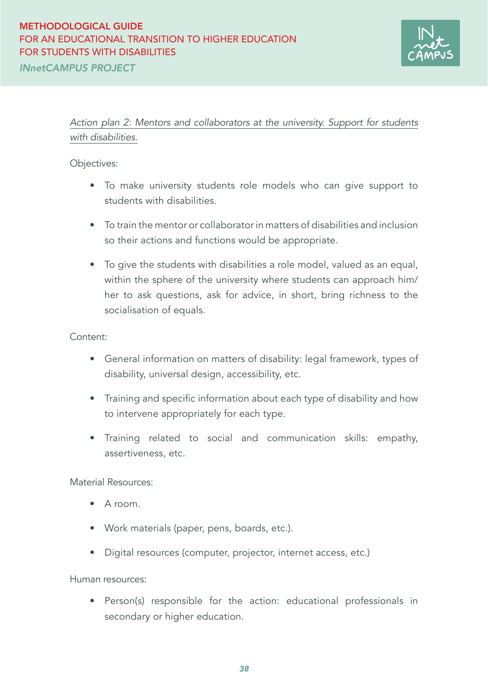

## *Action plan 2: Mentors and collaborators at the university. Support for students with disabilities.*

Objectives:

- To make university students role models who can give support to students with disabilities.
- To train the mentor or collaborator in matters of disabilities and inclusion so their actions and functions would be appropriate.
- To give the students with disabilities a role model, valued as an equal, within the sphere of the university where students can approach him/ her to ask questions, ask for advice, in short, bring richness to the socialisation of equals.

### Content:

- General information on matters of disability: legal framework, types of disability, universal design, accessibility, etc.
- Training and specific information about each type of disability and how to intervene appropriately for each type.
- Training related to social and communication skills: empathy, assertiveness, etc.

Material Resources:

- A room.
- Work materials (paper, pens, boards, etc.).
- Digital resources (computer, projector, internet access, etc.)

Human resources:

• Person(s) responsible for the action: educational professionals in secondary or higher education.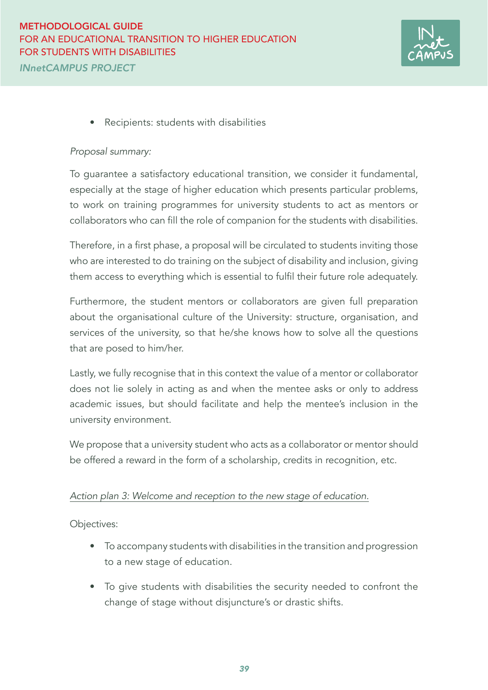

• Recipients: students with disabilities

#### *Proposal summary:*

To guarantee a satisfactory educational transition, we consider it fundamental, especially at the stage of higher education which presents particular problems, to work on training programmes for university students to act as mentors or collaborators who can fill the role of companion for the students with disabilities.

Therefore, in a first phase, a proposal will be circulated to students inviting those who are interested to do training on the subject of disability and inclusion, giving them access to everything which is essential to fulfil their future role adequately.

Furthermore, the student mentors or collaborators are given full preparation about the organisational culture of the University: structure, organisation, and services of the university, so that he/she knows how to solve all the questions that are posed to him/her.

Lastly, we fully recognise that in this context the value of a mentor or collaborator does not lie solely in acting as and when the mentee asks or only to address academic issues, but should facilitate and help the mentee's inclusion in the university environment.

We propose that a university student who acts as a collaborator or mentor should be offered a reward in the form of a scholarship, credits in recognition, etc.

#### *Action plan 3: Welcome and reception to the new stage of education.*

Objectives:

- To accompany students with disabilities in the transition and progression to a new stage of education.
- To give students with disabilities the security needed to confront the change of stage without disjuncture's or drastic shifts.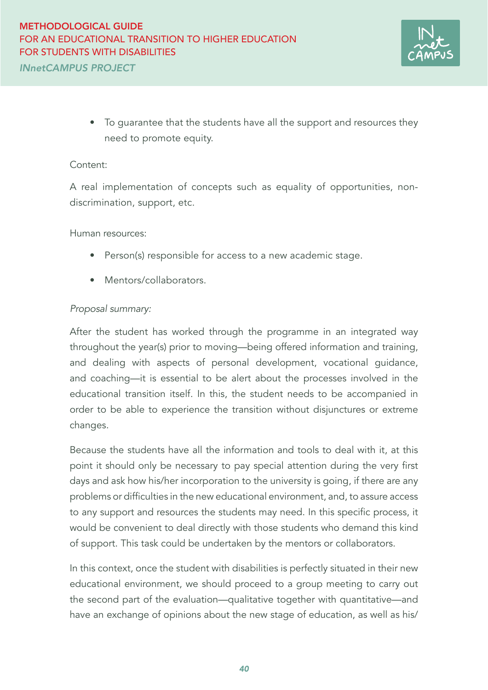

• To guarantee that the students have all the support and resources they need to promote equity.

#### Content:

A real implementation of concepts such as equality of opportunities, nondiscrimination, support, etc.

#### Human resources:

- Person(s) responsible for access to a new academic stage.
- Mentors/collaborators.

#### *Proposal summary:*

After the student has worked through the programme in an integrated way throughout the year(s) prior to moving—being offered information and training, and dealing with aspects of personal development, vocational guidance, and coaching—it is essential to be alert about the processes involved in the educational transition itself. In this, the student needs to be accompanied in order to be able to experience the transition without disjunctures or extreme changes.

Because the students have all the information and tools to deal with it, at this point it should only be necessary to pay special attention during the very first days and ask how his/her incorporation to the university is going, if there are any problems or difficulties in the new educational environment, and, to assure access to any support and resources the students may need. In this specific process, it would be convenient to deal directly with those students who demand this kind of support. This task could be undertaken by the mentors or collaborators.

In this context, once the student with disabilities is perfectly situated in their new educational environment, we should proceed to a group meeting to carry out the second part of the evaluation—qualitative together with quantitative—and have an exchange of opinions about the new stage of education, as well as his/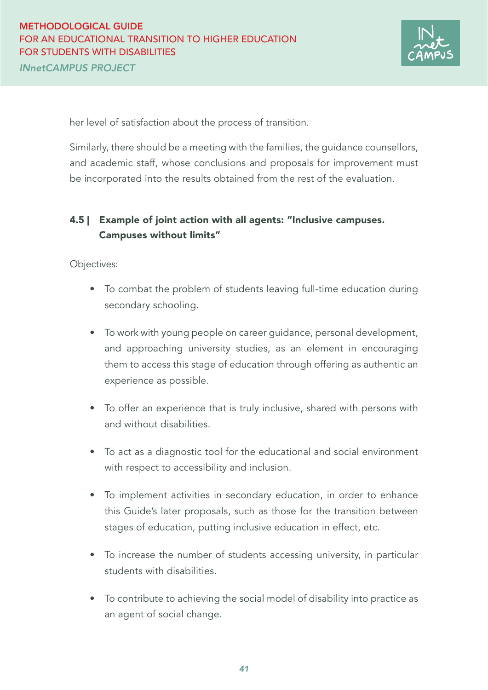

her level of satisfaction about the process of transition.

Similarly, there should be a meeting with the families, the guidance counsellors, and academic staff, whose conclusions and proposals for improvement must be incorporated into the results obtained from the rest of the evaluation.

## 4.5 | Example of joint action with all agents: "Inclusive campuses. Campuses without limits"

Objectives:

- To combat the problem of students leaving full-time education during secondary schooling.
- To work with young people on career guidance, personal development, and approaching university studies, as an element in encouraging them to access this stage of education through offering as authentic an experience as possible.
- To offer an experience that is truly inclusive, shared with persons with and without disabilities.
- To act as a diagnostic tool for the educational and social environment with respect to accessibility and inclusion.
- To implement activities in secondary education, in order to enhance this Guide's later proposals, such as those for the transition between stages of education, putting inclusive education in effect, etc.
- To increase the number of students accessing university, in particular students with disabilities.
- To contribute to achieving the social model of disability into practice as an agent of social change.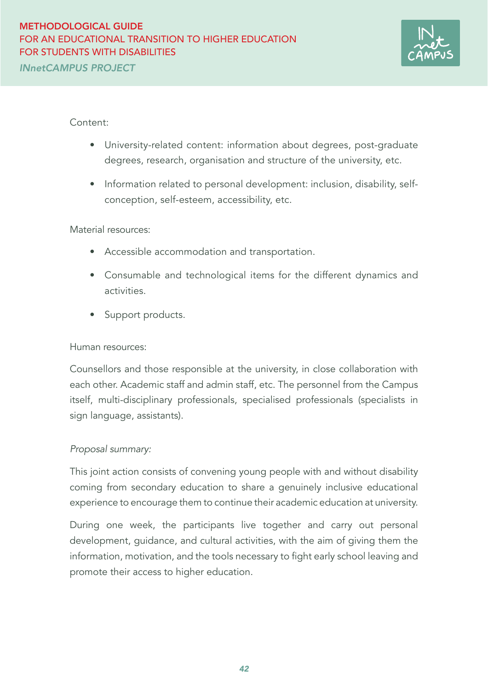

#### Content:

- University-related content: information about degrees, post-graduate degrees, research, organisation and structure of the university, etc.
- Information related to personal development: inclusion, disability, selfconception, self-esteem, accessibility, etc.

#### Material resources:

- Accessible accommodation and transportation.
- Consumable and technological items for the different dynamics and activities.
- Support products.

#### Human resources:

Counsellors and those responsible at the university, in close collaboration with each other. Academic staff and admin staff, etc. The personnel from the Campus itself, multi-disciplinary professionals, specialised professionals (specialists in sign language, assistants).

#### *Proposal summary:*

This joint action consists of convening young people with and without disability coming from secondary education to share a genuinely inclusive educational experience to encourage them to continue their academic education at university.

During one week, the participants live together and carry out personal development, guidance, and cultural activities, with the aim of giving them the information, motivation, and the tools necessary to fight early school leaving and promote their access to higher education.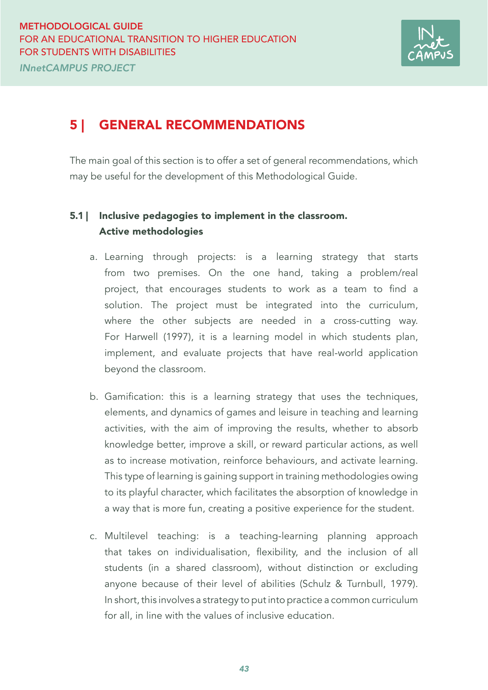

## 5 | GENERAL RECOMMENDATIONS

The main goal of this section is to offer a set of general recommendations, which may be useful for the development of this Methodological Guide.

## 5.1 | Inclusive pedagogies to implement in the classroom. Active methodologies

- a. Learning through projects: is a learning strategy that starts from two premises. On the one hand, taking a problem/real project, that encourages students to work as a team to find a solution. The project must be integrated into the curriculum, where the other subjects are needed in a cross-cutting way. For Harwell (1997), it is a learning model in which students plan, implement, and evaluate projects that have real-world application beyond the classroom.
- b. Gamification: this is a learning strategy that uses the techniques, elements, and dynamics of games and leisure in teaching and learning activities, with the aim of improving the results, whether to absorb knowledge better, improve a skill, or reward particular actions, as well as to increase motivation, reinforce behaviours, and activate learning. This type of learning is gaining support in training methodologies owing to its playful character, which facilitates the absorption of knowledge in a way that is more fun, creating a positive experience for the student.
- c. Multilevel teaching: is a teaching-learning planning approach that takes on individualisation, flexibility, and the inclusion of all students (in a shared classroom), without distinction or excluding anyone because of their level of abilities (Schulz & Turnbull, 1979). In short, this involves a strategy to put into practice a common curriculum for all, in line with the values of inclusive education.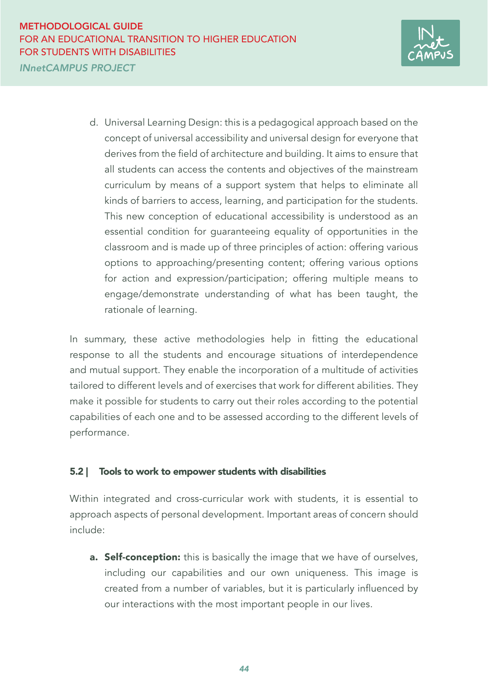

d. Universal Learning Design: this is a pedagogical approach based on the concept of universal accessibility and universal design for everyone that derives from the field of architecture and building. It aims to ensure that all students can access the contents and objectives of the mainstream curriculum by means of a support system that helps to eliminate all kinds of barriers to access, learning, and participation for the students. This new conception of educational accessibility is understood as an essential condition for guaranteeing equality of opportunities in the classroom and is made up of three principles of action: offering various options to approaching/presenting content; offering various options for action and expression/participation; offering multiple means to engage/demonstrate understanding of what has been taught, the rationale of learning.

In summary, these active methodologies help in fitting the educational response to all the students and encourage situations of interdependence and mutual support. They enable the incorporation of a multitude of activities tailored to different levels and of exercises that work for different abilities. They make it possible for students to carry out their roles according to the potential capabilities of each one and to be assessed according to the different levels of performance.

#### 5.2 | Tools to work to empower students with disabilities

Within integrated and cross-curricular work with students, it is essential to approach aspects of personal development. Important areas of concern should include:

a. Self-conception: this is basically the image that we have of ourselves, including our capabilities and our own uniqueness. This image is created from a number of variables, but it is particularly influenced by our interactions with the most important people in our lives.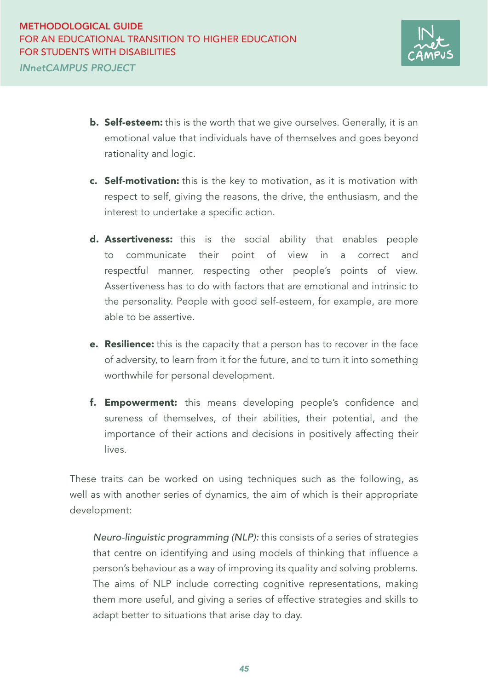

- **b. Self-esteem:** this is the worth that we give ourselves. Generally, it is an emotional value that individuals have of themselves and goes beyond rationality and logic.
- c. Self-motivation: this is the key to motivation, as it is motivation with respect to self, giving the reasons, the drive, the enthusiasm, and the interest to undertake a specific action.
- d. Assertiveness: this is the social ability that enables people to communicate their point of view in a correct and respectful manner, respecting other people's points of view. Assertiveness has to do with factors that are emotional and intrinsic to the personality. People with good self-esteem, for example, are more able to be assertive.
- **e.** Resilience: this is the capacity that a person has to recover in the face of adversity, to learn from it for the future, and to turn it into something worthwhile for personal development.
- **f. Empowerment:** this means developing people's confidence and sureness of themselves, of their abilities, their potential, and the importance of their actions and decisions in positively affecting their lives.

These traits can be worked on using techniques such as the following, as well as with another series of dynamics, the aim of which is their appropriate development:

*Neuro-linguistic programming (NLP):* this consists of a series of strategies that centre on identifying and using models of thinking that influence a person's behaviour as a way of improving its quality and solving problems. The aims of NLP include correcting cognitive representations, making them more useful, and giving a series of effective strategies and skills to adapt better to situations that arise day to day.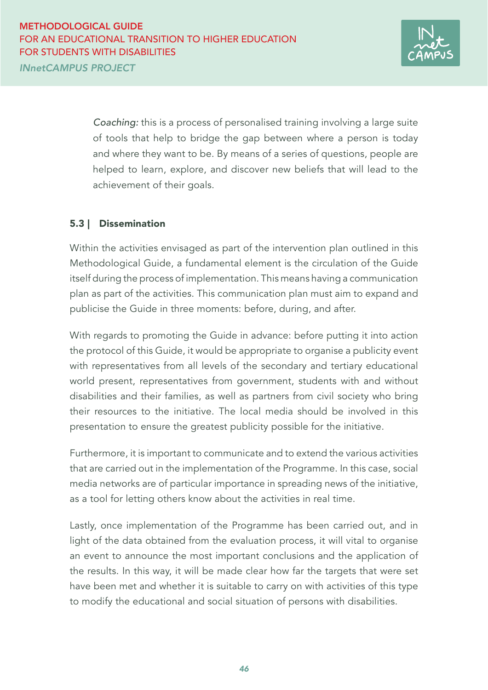

*Coaching:* this is a process of personalised training involving a large suite of tools that help to bridge the gap between where a person is today and where they want to be. By means of a series of questions, people are helped to learn, explore, and discover new beliefs that will lead to the achievement of their goals.

### 5.3 | Dissemination

Within the activities envisaged as part of the intervention plan outlined in this Methodological Guide, a fundamental element is the circulation of the Guide itself during the process of implementation. This means having a communication plan as part of the activities. This communication plan must aim to expand and publicise the Guide in three moments: before, during, and after.

With regards to promoting the Guide in advance: before putting it into action the protocol of this Guide, it would be appropriate to organise a publicity event with representatives from all levels of the secondary and tertiary educational world present, representatives from government, students with and without disabilities and their families, as well as partners from civil society who bring their resources to the initiative. The local media should be involved in this presentation to ensure the greatest publicity possible for the initiative.

Furthermore, it is important to communicate and to extend the various activities that are carried out in the implementation of the Programme. In this case, social media networks are of particular importance in spreading news of the initiative, as a tool for letting others know about the activities in real time.

Lastly, once implementation of the Programme has been carried out, and in light of the data obtained from the evaluation process, it will vital to organise an event to announce the most important conclusions and the application of the results. In this way, it will be made clear how far the targets that were set have been met and whether it is suitable to carry on with activities of this type to modify the educational and social situation of persons with disabilities.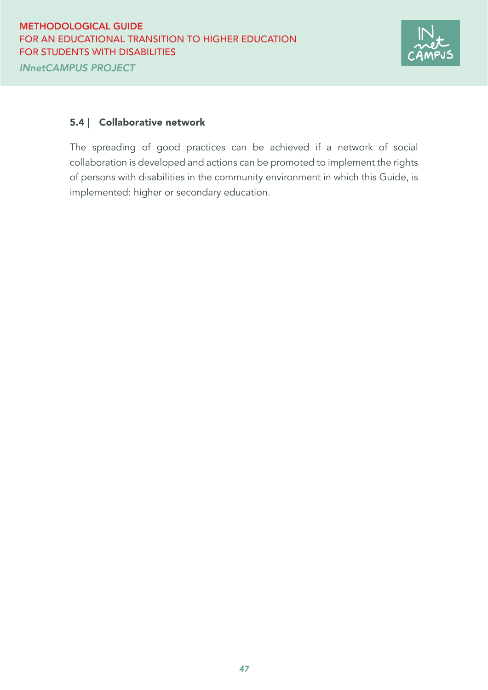

#### 5.4 | Collaborative network

The spreading of good practices can be achieved if a network of social collaboration is developed and actions can be promoted to implement the rights of persons with disabilities in the community environment in which this Guide, is implemented: higher or secondary education.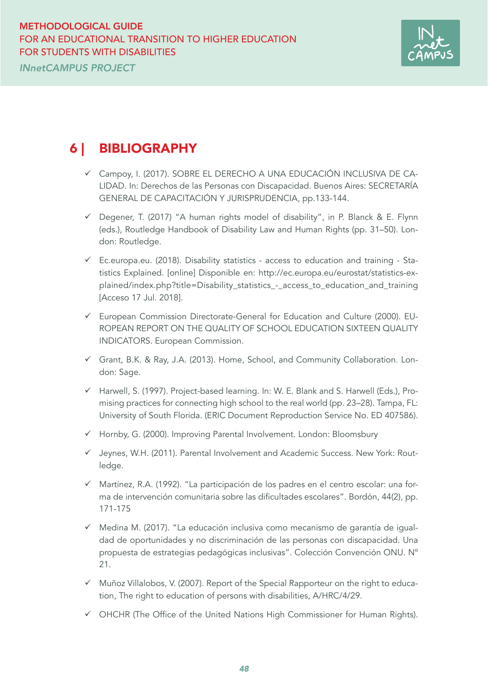

## 6 | BIBLIOGRAPHY

- √ Campoy, I. (2017). SOBRE EL DERECHO A UNA EDUCACIÓN INCLUSIVA DE CA-LIDAD. In: Derechos de las Personas con Discapacidad. Buenos Aires: SECRETARÍA GENERAL DE CAPACITACIÓN Y JURISPRUDENCIA, pp.133-144.
- $\checkmark$  Degener, T. (2017) "A human rights model of disability", in P. Blanck & E. Flynn (eds.), Routledge Handbook of Disability Law and Human Rights (pp. 31–50). London: Routledge.
- $\checkmark$  Ec.europa.eu. (2018). Disability statistics access to education and training Statistics Explained. [online] Disponible en: http://ec.europa.eu/eurostat/statistics-ex[plained/index.php?title=Disability\\_statistics\\_-\\_access\\_to\\_education\\_and\\_training](https://ec.europa.eu/eurostat/statistics-explained/index.php?title=Disability_statistics_-_access_to_education_and_training)  [Acceso 17 Jul. 2018].
- $\checkmark$  European Commission Directorate-General for Education and Culture (2000). EU-ROPEAN REPORT ON THE QUALITY OF SCHOOL EDUCATION SIXTEEN QUALITY INDICATORS. European Commission.
- $\checkmark$  Grant, B.K. & Ray, J.A. (2013). Home, School, and Community Collaboration. London: Sage.
- $\checkmark$  Harwell, S. (1997). Project-based learning. In: W. E. Blank and S. Harwell (Eds.), Promising practices for connecting high school to the real world (pp. 23–28). Tampa, FL: University of South Florida. (ERIC Document Reproduction Service No. ED 407586).
- $\checkmark$  Hornby, G. (2000). Improving Parental Involvement. London: Bloomsbury
- $\checkmark$  Jeynes, W.H. (2011). Parental Involvement and Academic Success. New York: Routledge.
- $\checkmark$  Martínez, R.A. (1992). "La participación de los padres en el centro escolar: una forma de intervención comunitaria sobre las dificultades escolares". Bordón, 44(2), pp. 171-175
- $\checkmark$  Medina M. (2017). "La educación inclusiva como mecanismo de garantía de igualdad de oportunidades y no discriminación de las personas con discapacidad. Una propuesta de estrategias pedagógicas inclusivas". Colección Convención ONU. Nº 21.
- $\checkmark$  Muñoz Villalobos, V. (2007). Report of the Special Rapporteur on the right to education, The right to education of persons with disabilities, A/HRC/4/29.
- $\checkmark$  OHCHR (The Office of the United Nations High Commissioner for Human Rights).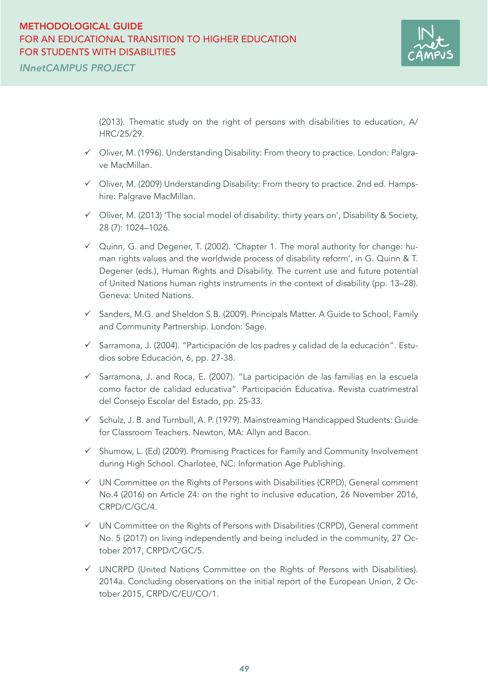

(2013). Thematic study on the right of persons with disabilities to education, A/ HRC/25/29.

- $\checkmark$  Oliver, M. (1996). Understanding Disability: From theory to practice. London: Palgrave MacMillan.
- $\checkmark$  Oliver, M. (2009) Understanding Disability: From theory to practice. 2nd ed. Hampshire: Palgrave MacMillan.
- $\checkmark$  Oliver, M. (2013) 'The social model of disability: thirty years on', Disability & Society, 28 (7): 1024–1026.
- $\checkmark$  Quinn, G. and Degener, T. (2002). 'Chapter 1. The moral authority for change: human rights values and the worldwide process of disability reform', in G. Quinn & T. Degener (eds.), Human Rights and Disability. The current use and future potential of United Nations human rights instruments in the context of disability (pp. 13–28). Geneva: United Nations.
- $\checkmark$  Sanders, M.G. and Sheldon S.B. (2009). Principals Matter. A Guide to School, Family and Community Partnership. London: Sage.
- $\checkmark$  Sarramona, J. (2004). "Participación de los padres y calidad de la educación". Estudios sobre Educación, 6, pp. 27-38.
- $\checkmark$  Sarramona, J. and Roca, E. (2007). "La participación de las familias en la escuela como factor de calidad educativa". Participación Educativa. Revista cuatrimestral del Consejo Escolar del Estado, pp. 25-33.
- $\checkmark$  Schulz, J. B. and Turnbull, A. P. (1979). Mainstreaming Handicapped Students: Guide for Classroom Teachers. Newton, MA: Allyn and Bacon.
- $\checkmark$  Shumow, L. (Ed) (2009). Promising Practices for Family and Community Involvement during High School. Charlotee, NC: Information Age Publishing.
- $\checkmark$  UN Committee on the Rights of Persons with Disabilities (CRPD), General comment No.4 (2016) on Article 24: on the right to inclusive education, 26 November 2016, CRPD/C/GC/4.
- $\checkmark$  UN Committee on the Rights of Persons with Disabilities (CRPD), General comment No. 5 (2017) on living independently and being included in the community, 27 October 2017, CRPD/C/GC/5.
- $\checkmark$  UNCRPD (United Nations Committee on the Rights of Persons with Disabilities). 2014a. Concluding observations on the initial report of the European Union, 2 October 2015, CRPD/C/EU/CO/1.